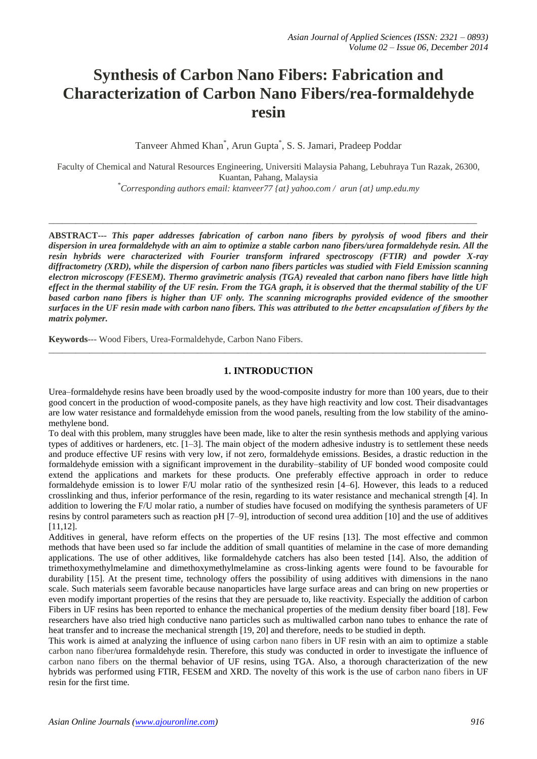# **Synthesis of Carbon Nano Fibers: Fabrication and Characterization of Carbon Nano Fibers/rea-formaldehyde resin**

Tanveer Ahmed Khan\* , Arun Gupta\* , S. S. Jamari, Pradeep Poddar

Faculty of Chemical and Natural Resources Engineering, Universiti Malaysia Pahang, Lebuhraya Tun Razak, 26300, Kuantan, Pahang, Malaysia

*\*Corresponding authors email: ktanveer77 {at} yahoo.com / arun {at} ump.edu.my*

\_\_\_\_\_\_\_\_\_\_\_\_\_\_\_\_\_\_\_\_\_\_\_\_\_\_\_\_\_\_\_\_\_\_\_\_\_\_\_\_\_\_\_\_\_\_\_\_\_\_\_\_\_\_\_\_\_\_\_\_\_\_\_\_\_\_\_\_\_\_\_\_\_\_\_\_\_\_\_\_\_\_\_\_\_\_\_\_\_\_\_\_\_\_\_

**ABSTRACT---** *This paper addresses fabrication of carbon nano fibers by pyrolysis of wood fibers and their dispersion in urea formaldehyde with an aim to optimize a stable carbon nano fibers/urea formaldehyde resin. All the resin hybrids were characterized with Fourier transform infrared spectroscopy (FTIR) and powder X-ray diffractometry (XRD), while the dispersion of carbon nano fibers particles was studied with Field Emission scanning electron microscopy (FESEM). Thermo gravimetric analysis (TGA) revealed that carbon nano fibers have little high effect in the thermal stability of the UF resin. From the TGA graph, it is observed that the thermal stability of the UF based carbon nano fibers is higher than UF only. The scanning micrographs provided evidence of the smoother surfaces in the UF resin made with carbon nano fibers. This was attributed to the better encapsulation of fibers by the matrix polymer.*

**Keywords**--- Wood Fibers, Urea-Formaldehyde, Carbon Nano Fibers.

#### **1. INTRODUCTION**

\_\_\_\_\_\_\_\_\_\_\_\_\_\_\_\_\_\_\_\_\_\_\_\_\_\_\_\_\_\_\_\_\_\_\_\_\_\_\_\_\_\_\_\_\_\_\_\_\_\_\_\_\_\_\_\_\_\_\_\_\_\_\_\_\_\_\_\_\_\_\_\_\_\_\_\_\_\_\_\_\_\_\_\_\_\_\_\_\_\_\_\_\_\_\_\_\_

Urea–formaldehyde resins have been broadly used by the wood-composite industry for more than 100 years, due to their good concert in the production of wood-composite panels, as they have high reactivity and low cost. Their disadvantages are low water resistance and formaldehyde emission from the wood panels, resulting from the low stability of the aminomethylene bond.

To deal with this problem, many struggles have been made, like to alter the resin synthesis methods and applying various types of additives or hardeners, etc. [1–3]. The main object of the modern adhesive industry is to settlement these needs and produce effective UF resins with very low, if not zero, formaldehyde emissions. Besides, a drastic reduction in the formaldehyde emission with a significant improvement in the durability–stability of UF bonded wood composite could extend the applications and markets for these products. One preferably effective approach in order to reduce formaldehyde emission is to lower F/U molar ratio of the synthesized resin [4–6]. However, this leads to a reduced crosslinking and thus, inferior performance of the resin, regarding to its water resistance and mechanical strength [4]. In addition to lowering the F/U molar ratio, a number of studies have focused on modifying the synthesis parameters of UF resins by control parameters such as reaction pH [7–9], introduction of second urea addition [10] and the use of additives [11,12].

Additives in general, have reform effects on the properties of the UF resins [13]. The most effective and common methods that have been used so far include the addition of small quantities of melamine in the case of more demanding applications. The use of other additives, like formaldehyde catchers has also been tested [14]. Also, the addition of trimethoxymethylmelamine and dimethoxymethylmelamine as cross-linking agents were found to be favourable for durability [15]. At the present time, technology offers the possibility of using additives with dimensions in the nano scale. Such materials seem favorable because nanoparticles have large surface areas and can bring on new properties or even modify important properties of the resins that they are persuade to, like reactivity. Especially the addition of carbon Fibers in UF resins has been reported to enhance the mechanical properties of the medium density fiber board [18]. Few researchers have also tried high conductive nano particles such as multiwalled carbon nano tubes to enhance the rate of heat transfer and to increase the mechanical strength [19, 20] and therefore, needs to be studied in depth.

This work is aimed at analyzing the influence of using carbon nano fibers in UF resin with an aim to optimize a stable carbon nano fiber/urea formaldehyde resin. Therefore, this study was conducted in order to investigate the influence of carbon nano fibers on the thermal behavior of UF resins, using TGA. Also, a thorough characterization of the new hybrids was performed using FTIR, FESEM and XRD. The novelty of this work is the use of carbon nano fibers in UF resin for the first time.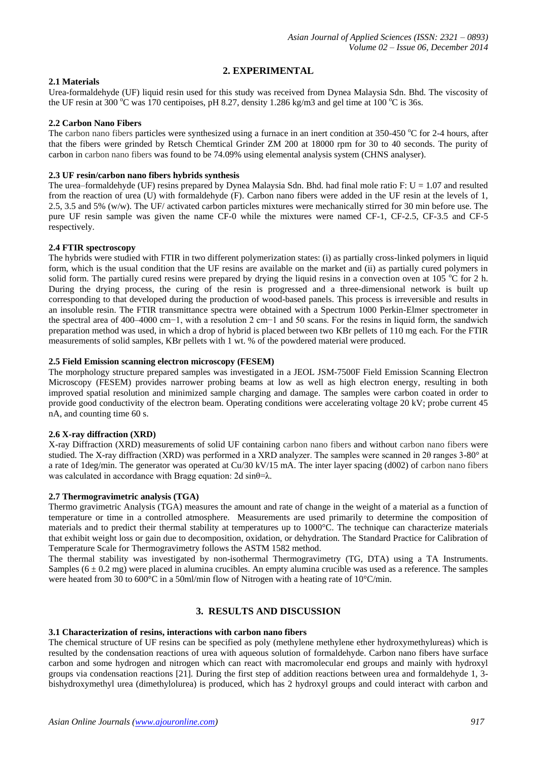# **2. EXPERIMENTAL**

#### **2.1 Materials**

Urea-formaldehyde (UF) liquid resin used for this study was received from Dynea Malaysia Sdn. Bhd. The viscosity of the UF resin at 300 °C was 170 centipoises, pH 8.27, density 1.286 kg/m3 and gel time at 100 °C is 36s.

#### **2.2 Carbon Nano Fibers**

The carbon nano fibers particles were synthesized using a furnace in an inert condition at  $350-450$  °C for 2-4 hours, after that the fibers were grinded by Retsch Chemtical Grinder ZM 200 at 18000 rpm for 30 to 40 seconds. The purity of carbon in carbon nano fibers was found to be 74.09% using elemental analysis system (CHNS analyser).

## **2.3 UF resin/carbon nano fibers hybrids synthesis**

The urea–formaldehyde (UF) resins prepared by Dynea Malaysia Sdn. Bhd. had final mole ratio F:  $U = 1.07$  and resulted from the reaction of urea (U) with formaldehyde (F). Carbon nano fibers were added in the UF resin at the levels of 1, 2.5, 3.5 and 5% (w/w). The UF/ activated carbon particles mixtures were mechanically stirred for 30 min before use. The pure UF resin sample was given the name CF-0 while the mixtures were named CF-1, CF-2.5, CF-3.5 and CF-5 respectively.

## **2.4 FTIR spectroscopy**

The hybrids were studied with FTIR in two different polymerization states: (i) as partially cross-linked polymers in liquid form, which is the usual condition that the UF resins are available on the market and (ii) as partially cured polymers in solid form. The partially cured resins were prepared by drying the liquid resins in a convection oven at 105  $^{\circ}$ C for 2 h. During the drying process, the curing of the resin is progressed and a three-dimensional network is built up corresponding to that developed during the production of wood-based panels. This process is irreversible and results in an insoluble resin. The FTIR transmittance spectra were obtained with a Spectrum 1000 Perkin-Elmer spectrometer in the spectral area of 400–4000 cm−1, with a resolution 2 cm−1 and 50 scans. For the resins in liquid form, the sandwich preparation method was used, in which a drop of hybrid is placed between two KBr pellets of 110 mg each. For the FTIR measurements of solid samples, KBr pellets with 1 wt. % of the powdered material were produced.

## **2.5 Field Emission scanning electron microscopy (FESEM)**

The morphology structure prepared samples was investigated in a JEOL JSM-7500F Field Emission Scanning Electron Microscopy (FESEM) provides narrower probing beams at low as well as high electron energy, resulting in both improved spatial resolution and minimized sample charging and damage. The samples were carbon coated in order to provide good conductivity of the electron beam. Operating conditions were accelerating voltage 20 kV; probe current 45 nA, and counting time 60 s.

#### **2.6 X-ray diffraction (XRD)**

X-ray Diffraction (XRD) measurements of solid UF containing carbon nano fibers and without carbon nano fibers were studied. The X-ray diffraction (XRD) was performed in a XRD analyzer. The samples were scanned in 2θ ranges 3-80° at a rate of 1deg/min. The generator was operated at Cu/30 kV/15 mA. The inter layer spacing (d002) of carbon nano fibers was calculated in accordance with Bragg equation: 2d  $\sin\theta = \lambda$ .

#### **2.7 Thermogravimetric analysis (TGA)**

Thermo gravimetric Analysis (TGA) measures the amount and rate of change in the weight of a material as a function of temperature or time in a controlled atmosphere. Measurements are used primarily to determine the composition of materials and to predict their thermal stability at temperatures up to 1000°C. The technique can characterize materials that exhibit weight loss or gain due to decomposition, oxidation, or dehydration. The Standard Practice for Calibration of Temperature Scale for Thermogravimetry follows the ASTM 1582 method.

The thermal stability was investigated by non-isothermal Thermogravimetry (TG, DTA) using a TA Instruments. Samples  $(6 \pm 0.2 \text{ mg})$  were placed in alumina crucibles. An empty alumina crucible was used as a reference. The samples were heated from 30 to 600°C in a 50ml/min flow of Nitrogen with a heating rate of 10°C/min.

# **3. RESULTS AND DISCUSSION**

#### **3.1 Characterization of resins, interactions with carbon nano fibers**

The chemical structure of UF resins can be specified as poly (methylene methylene ether hydroxymethylureas) which is resulted by the condensation reactions of urea with aqueous solution of formaldehyde. Carbon nano fibers have surface carbon and some hydrogen and nitrogen which can react with macromolecular end groups and mainly with hydroxyl groups via condensation reactions [21]. During the first step of addition reactions between urea and formaldehyde 1, 3 bishydroxymethyl urea (dimethylolurea) is produced, which has 2 hydroxyl groups and could interact with carbon and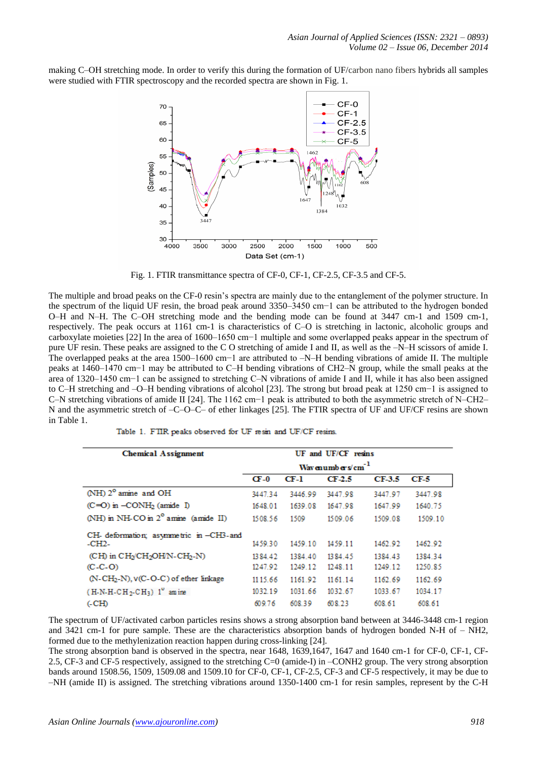making C–OH stretching mode. In order to verify this during the formation of UF/carbon nano fibers hybrids all samples were studied with FTIR spectroscopy and the recorded spectra are shown in Fig. 1.



Fig. 1. FTIR transmittance spectra of CF-0, CF-1, CF-2.5, CF-3.5 and CF-5.

The multiple and broad peaks on the CF-0 resin's spectra are mainly due to the entanglement of the polymer structure. In the spectrum of the liquid UF resin, the broad peak around 3350–3450 cm−1 can be attributed to the hydrogen bonded O–H and N–H. The C–OH stretching mode and the bending mode can be found at 3447 cm-1 and 1509 cm-1, respectively. The peak occurs at 1161 cm-1 is characteristics of C–O is stretching in lactonic, alcoholic groups and carboxylate moieties [22] In the area of 1600–1650 cm−1 multiple and some overlapped peaks appear in the spectrum of pure UF resin. These peaks are assigned to the C O stretching of amide I and II, as well as the –N–H scissors of amide I. The overlapped peaks at the area 1500–1600 cm−1 are attributed to –N–H bending vibrations of amide II. The multiple peaks at 1460–1470 cm−1 may be attributed to C–H bending vibrations of CH2–N group, while the small peaks at the area of 1320–1450 cm−1 can be assigned to stretching C–N vibrations of amide I and II, while it has also been assigned to C–H stretching and –O–H bending vibrations of alcohol [23]. The strong but broad peak at 1250 cm−1 is assigned to C–N stretching vibrations of amide II [24]. The 1162 cm−1 peak is attributed to both the asymmetric stretch of N–CH2– N and the asymmetric stretch of –C–O–C– of ether linkages [25]. The FTIR spectra of UF and UF/CF resins are shown in Table 1.

| <b>Chemical Assignment</b>                                      |                              | UF and UF/CF resins |         |         |         |  |
|-----------------------------------------------------------------|------------------------------|---------------------|---------|---------|---------|--|
|                                                                 | Wavenumbers/cm <sup>-1</sup> |                     |         |         |         |  |
|                                                                 | $CF-0$                       | CF-1                | CF-2.5  | CF-3.5  | CF-5    |  |
| (NH) 2° amine and OH                                            | 3447.34                      | 3446.99             | 3447.98 | 3447.97 | 3447.98 |  |
| $(C=O)$ in $-CONH2$ (amide I)                                   | 1648.01                      | 1639.08             | 1647.98 | 1647.99 | 1640.75 |  |
| (NH) in NH-CO in 2° amine (amide II)                            | 1508.56                      | 1509                | 1509.06 | 1509.08 | 1509.10 |  |
| CH- deformation; asymmetric in -CH3-and<br>$-CH2-$              | 1459.30                      | 1459.10             | 1459.11 | 1462.92 | 1462.92 |  |
| (CH) in CH <sub>2</sub> CH <sub>2</sub> OHN-CH <sub>2</sub> -N) | 1384.42                      | 1384.40             | 1384 45 | 1384.43 | 1384.34 |  |
| $(C-C-O)$                                                       | 1247.92                      | 1249.12             | 1248.11 | 1249.12 | 1250.85 |  |
| $(N-CH2-N)$ , $V(C-O-C)$ of ether linkage                       | 1115.66                      | 1161.92             | 1161.14 | 1162.69 | 1162.69 |  |
| $(H-N-H-CH_2-CH_3)$ 1 <sup>o</sup> amine                        | 1032.19                      | 1031.66             | 1032.67 | 1033.67 | 1034.17 |  |
| $(-CH)$                                                         | 609.76                       | 608.39              | 608.23  | 608.61  | 608.61  |  |

Table 1. FTIR peaks observed for UF resin and UF/CF resins.

The spectrum of UF/activated carbon particles resins shows a strong absorption band between at 3446-3448 cm-1 region and 3421 cm-1 for pure sample. These are the characteristics absorption bands of hydrogen bonded N-H of – NH2, formed due to the methylenization reaction happen during cross-linking [24].

The strong absorption band is observed in the spectra, near 1648, 1639,1647, 1647 and 1640 cm-1 for CF-0, CF-1, CF-2.5, CF-3 and CF-5 respectively, assigned to the stretching C=0 (amide-I) in –CONH2 group. The very strong absorption bands around 1508.56, 1509, 1509.08 and 1509.10 for CF-0, CF-1, CF-2.5, CF-3 and CF-5 respectively, it may be due to –NH (amide II) is assigned. The stretching vibrations around 1350-1400 cm-1 for resin samples, represent by the C-H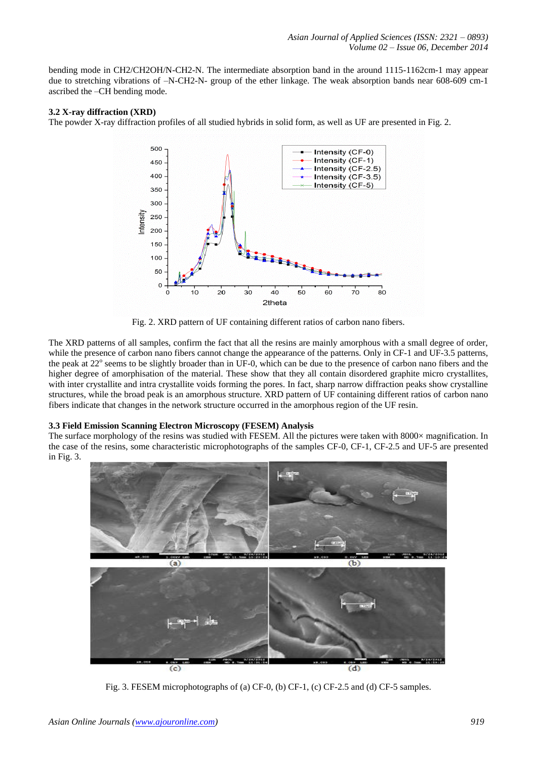bending mode in CH2/CH2OH/N-CH2-N. The intermediate absorption band in the around 1115-1162cm-1 may appear due to stretching vibrations of –N-CH2-N- group of the ether linkage. The weak absorption bands near 608-609 cm-1 ascribed the –CH bending mode.

#### **3.2 X-ray diffraction (XRD)**

The powder X-ray diffraction profiles of all studied hybrids in solid form, as well as UF are presented in Fig. 2.



Fig. 2. XRD pattern of UF containing different ratios of carbon nano fibers.

The XRD patterns of all samples, confirm the fact that all the resins are mainly amorphous with a small degree of order, while the presence of carbon nano fibers cannot change the appearance of the patterns. Only in CF-1 and UF-3.5 patterns, the peak at 22° seems to be slightly broader than in UF-0, which can be due to the presence of carbon nano fibers and the higher degree of amorphisation of the material. These show that they all contain disordered graphite micro crystallites, with inter crystallite and intra crystallite voids forming the pores. In fact, sharp narrow diffraction peaks show crystalline structures, while the broad peak is an amorphous structure. XRD pattern of UF containing different ratios of carbon nano fibers indicate that changes in the network structure occurred in the amorphous region of the UF resin.

#### **3.3 Field Emission Scanning Electron Microscopy (FESEM) Analysis**

The surface morphology of the resins was studied with FESEM. All the pictures were taken with 8000× magnification. In the case of the resins, some characteristic microphotographs of the samples CF-0, CF-1, CF-2.5 and UF-5 are presented in Fig. 3.



Fig. 3. FESEM microphotographs of (a) CF-0, (b) CF-1, (c) CF-2.5 and (d) CF-5 samples.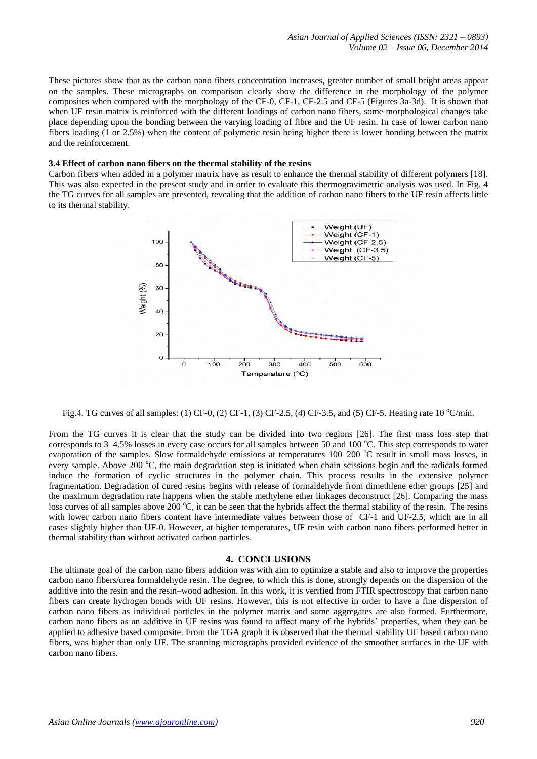These pictures show that as the carbon nano fibers concentration increases, greater number of small bright areas appear on the samples. These micrographs on comparison clearly show the difference in the morphology of the polymer composites when compared with the morphology of the CF-0, CF-1, CF-2.5 and CF-5 (Figures 3a-3d). It is shown that when UF resin matrix is reinforced with the different loadings of carbon nano fibers, some morphological changes take place depending upon the bonding between the varying loading of fibre and the UF resin. In case of lower carbon nano fibers loading (1 or 2.5%) when the content of polymeric resin being higher there is lower bonding between the matrix and the reinforcement.

#### **3.4 Effect of carbon nano fibers on the thermal stability of the resins**

Carbon fibers when added in a polymer matrix have as result to enhance the thermal stability of different polymers [18]. This was also expected in the present study and in order to evaluate this thermogravimetric analysis was used. In Fig. 4 the TG curves for all samples are presented, revealing that the addition of carbon nano fibers to the UF resin affects little to its thermal stability.



Fig.4. TG curves of all samples: (1) CF-0, (2) CF-1, (3) CF-2.5, (4) CF-3.5, and (5) CF-5. Heating rate 10  $^{\circ}$ C/min.

From the TG curves it is clear that the study can be divided into two regions [26]. The first mass loss step that corresponds to 3–4.5% losses in every case occurs for all samples between 50 and 100 °C. This step corresponds to water evaporation of the samples. Slow formaldehyde emissions at temperatures  $100-200$  °C result in small mass losses, in every sample. Above 200  $^{\circ}$ C, the main degradation step is initiated when chain scissions begin and the radicals formed induce the formation of cyclic structures in the polymer chain. This process results in the extensive polymer fragmentation. Degradation of cured resins begins with release of formaldehyde from dimethlene ether groups [25] and the maximum degradation rate happens when the stable methylene ether linkages deconstruct [26]. Comparing the mass loss curves of all samples above 200 °C, it can be seen that the hybrids affect the thermal stability of the resin. The resins with lower carbon nano fibers content have intermediate values between those of CF-1 and UF-2.5, which are in all cases slightly higher than UF-0. However, at higher temperatures, UF resin with carbon nano fibers performed better in thermal stability than without activated carbon particles.

#### **4. CONCLUSIONS**

The ultimate goal of the carbon nano fibers addition was with aim to optimize a stable and also to improve the properties carbon nano fibers/urea formaldehyde resin. The degree, to which this is done, strongly depends on the dispersion of the additive into the resin and the resin–wood adhesion. In this work, it is verified from FTIR spectroscopy that carbon nano fibers can create hydrogen bonds with UF resins. However, this is not effective in order to have a fine dispersion of carbon nano fibers as individual particles in the polymer matrix and some aggregates are also formed. Furthermore, carbon nano fibers as an additive in UF resins was found to affect many of the hybrids' properties, when they can be applied to adhesive based composite. From the TGA graph it is observed that the thermal stability UF based carbon nano fibers, was higher than only UF. The scanning micrographs provided evidence of the smoother surfaces in the UF with carbon nano fibers.